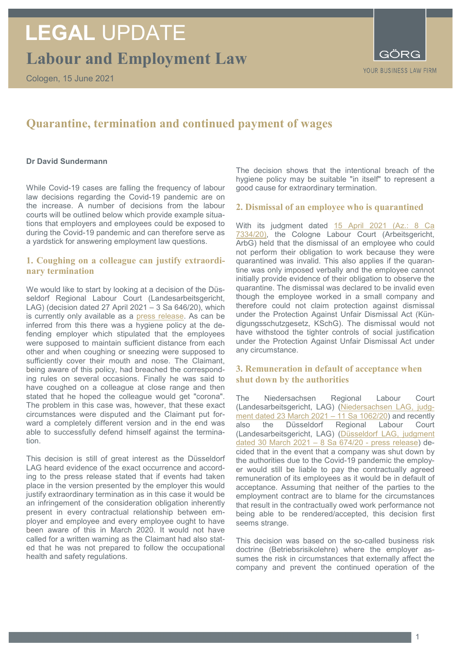Cologen, 15 June 2021

YOUR BUSINESS LAW FIRM

# **Quarantine, termination and continued payment of wages**

### **Dr David Sundermann**

While Covid-19 cases are falling the frequency of labour law decisions regarding the Covid-19 pandemic are on the increase. A number of decisions from the labour courts will be outlined below which provide example situations that employers and employees could be exposed to during the Covid-19 pandemic and can therefore serve as a yardstick for answering employment law questions.

### **1. Coughing on a colleague can justify extraordinary termination**

We would like to start by looking at a decision of the Düsseldorf Regional Labour Court (Landesarbeitsgericht, LAG) (decision dated 27 April 2021 – 3 Sa 646/20), which is currently only available as a [press release.](https://www.lag-duesseldorf.nrw.de/beh_static/presse/mitteilungen/940_11_21.pdf) As can be inferred from this there was a hygiene policy at the defending employer which stipulated that the employees were supposed to maintain sufficient distance from each other and when coughing or sneezing were supposed to sufficiently cover their mouth and nose. The Claimant, being aware of this policy, had breached the corresponding rules on several occasions. Finally he was said to have coughed on a colleague at close range and then stated that he hoped the colleague would get "corona". The problem in this case was, however, that these exact circumstances were disputed and the Claimant put forward a completely different version and in the end was able to successfully defend himself against the termination.

This decision is still of great interest as the Düsseldorf LAG heard evidence of the exact occurrence and according to the press release stated that if events had taken place in the version presented by the employer this would justify extraordinary termination as in this case it would be an infringement of the consideration obligation inherently present in every contractual relationship between employer and employee and every employee ought to have been aware of this in March 2020. It would not have called for a written warning as the Claimant had also stated that he was not prepared to follow the occupational health and safety regulations.

The decision shows that the intentional breach of the hygiene policy may be suitable "in itself" to represent a good cause for extraordinary termination.

### **2. Dismissal of an employee who is quarantined**

With its judgment dated 15 April 2021 (Az.: 8 Ca [7334/20\),](https://www.justiz.nrw.de/nrwe/arbgs/koeln/arbg_koeln/j2021/8_Ca_7334_20_Urteil_20210415.html) the Cologne Labour Court (Arbeitsgericht, ArbG) held that the dismissal of an employee who could not perform their obligation to work because they were quarantined was invalid. This also applies if the quarantine was only imposed verbally and the employee cannot initially provide evidence of their obligation to observe the quarantine. The dismissal was declared to be invalid even though the employee worked in a small company and therefore could not claim protection against dismissal under the Protection Against Unfair Dismissal Act (Kündigungsschutzgesetz, KSchG). The dismissal would not have withstood the tighter controls of social justification under the Protection Against Unfair Dismissal Act under any circumstance.

### **3. Remuneration in default of acceptance when shut down by the authorities**

The Niedersachsen Regional Labour Court (Landesarbeitsgericht, LAG) [\(Niedersachsen LAG, judg](https://www.rechtsprechung.niedersachsen.de/jportal/portal/page/bsndprod.psml?doc.id=JURE210007026&st=null&showdoccase=1)[ment dated 23 March 2021 –](https://www.rechtsprechung.niedersachsen.de/jportal/portal/page/bsndprod.psml?doc.id=JURE210007026&st=null&showdoccase=1) 11 Sa 1062/20) and recently also the Düsseldorf Regional Labour Court (Landesarbeitsgericht, LAG) [\(Düsseldorf LAG, judgment](https://www.justiz.nrw/JM/Presse/presse_weitere/PresseLArbGs/30_03_2021_/index.php)  [dated 30 March 2021](https://www.justiz.nrw/JM/Presse/presse_weitere/PresseLArbGs/30_03_2021_/index.php) – 8 Sa 674/20 - press release) decided that in the event that a company was shut down by the authorities due to the Covid-19 pandemic the employer would still be liable to pay the contractually agreed remuneration of its employees as it would be in default of acceptance. Assuming that neither of the parties to the employment contract are to blame for the circumstances that result in the contractually owed work performance not being able to be rendered/accepted, this decision first seems strange.

This decision was based on the so-called business risk doctrine (Betriebsrisikolehre) where the employer assumes the risk in circumstances that externally affect the company and prevent the continued operation of the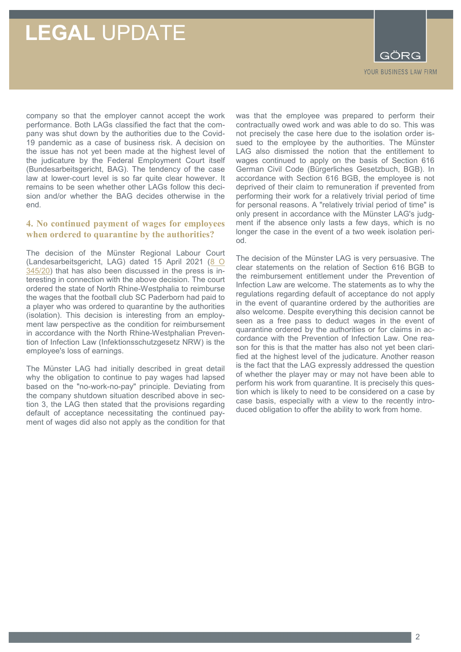# **LEGAL** UPDATE

GÖRG YOUR BUSINESS LAW FIRM

company so that the employer cannot accept the work performance. Both LAGs classified the fact that the company was shut down by the authorities due to the Covid-19 pandemic as a case of business risk. A decision on the issue has not yet been made at the highest level of the judicature by the Federal Employment Court itself (Bundesarbeitsgericht, BAG). The tendency of the case law at lower-court level is so far quite clear however. It remains to be seen whether other LAGs follow this decision and/or whether the BAG decides otherwise in the end.

## **4. No continued payment of wages for employees when ordered to quarantine by the authorities?**

The decision of the Münster Regional Labour Court (Landesarbeitsgericht, LAG) dated 15 April 2021 (8 O [345/20\)](https://www.justiz.nrw.de/nrwe/lgs/muenster/lg_muenster/j2021/8_O_345_20_Urteil_20210415.html) that has also been discussed in the press is interesting in connection with the above decision. The court ordered the state of North Rhine-Westphalia to reimburse the wages that the football club SC Paderborn had paid to a player who was ordered to quarantine by the authorities (isolation). This decision is interesting from an employment law perspective as the condition for reimbursement in accordance with the North Rhine-Westphalian Prevention of Infection Law (Infektionsschutzgesetz NRW) is the employee's loss of earnings.

The Münster LAG had initially described in great detail why the obligation to continue to pay wages had lapsed based on the "no-work-no-pay" principle. Deviating from the company shutdown situation described above in section 3, the LAG then stated that the provisions regarding default of acceptance necessitating the continued payment of wages did also not apply as the condition for that

was that the employee was prepared to perform their contractually owed work and was able to do so. This was not precisely the case here due to the isolation order issued to the employee by the authorities. The Münster LAG also dismissed the notion that the entitlement to wages continued to apply on the basis of Section 616 German Civil Code (Bürgerliches Gesetzbuch, BGB). In accordance with Section 616 BGB, the employee is not deprived of their claim to remuneration if prevented from performing their work for a relatively trivial period of time for personal reasons. A "relatively trivial period of time" is only present in accordance with the Münster LAG's judgment if the absence only lasts a few days, which is no longer the case in the event of a two week isolation period.

The decision of the Münster LAG is very persuasive. The clear statements on the relation of Section 616 BGB to the reimbursement entitlement under the Prevention of Infection Law are welcome. The statements as to why the regulations regarding default of acceptance do not apply in the event of quarantine ordered by the authorities are also welcome. Despite everything this decision cannot be seen as a free pass to deduct wages in the event of quarantine ordered by the authorities or for claims in accordance with the Prevention of Infection Law. One reason for this is that the matter has also not yet been clarified at the highest level of the judicature. Another reason is the fact that the LAG expressly addressed the question of whether the player may or may not have been able to perform his work from quarantine. It is precisely this question which is likely to need to be considered on a case by case basis, especially with a view to the recently introduced obligation to offer the ability to work from home.